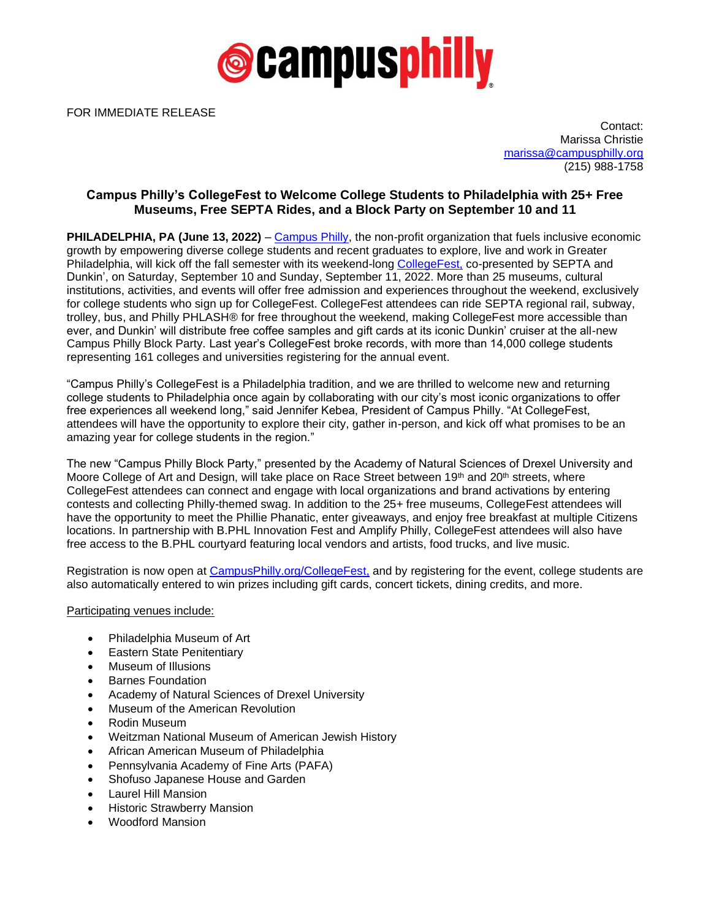

FOR IMMEDIATE RELEASE

Contact: Marissa Christie [marissa@campusphilly.org](mailto:marissa@campusphilly.org) (215) 988-1758

## **Campus Philly's CollegeFest to Welcome College Students to Philadelphia with 25+ Free Museums, Free SEPTA Rides, and a Block Party on September 10 and 11**

**PHILADELPHIA, PA (June 13, 2022)** – [Campus Philly,](http://bit.ly/2Z4JW7C) the non-profit organization that fuels inclusive economic growth by empowering diverse college students and recent graduates to explore, live and work in Greater Philadelphia, will kick off the fall semester with its weekend-long [CollegeFest,](https://bit.ly/3OdZBGy) co-presented by SEPTA and Dunkin', on Saturday, September 10 and Sunday, September 11, 2022. More than 25 museums, cultural institutions, activities, and events will offer free admission and experiences throughout the weekend, exclusively for college students who sign up for CollegeFest. CollegeFest attendees can ride SEPTA regional rail, subway, trolley, bus, and Philly PHLASH® for free throughout the weekend, making CollegeFest more accessible than ever, and Dunkin' will distribute free coffee samples and gift cards at its iconic Dunkin' cruiser at the all-new Campus Philly Block Party. Last year's CollegeFest broke records, with more than 14,000 college students representing 161 colleges and universities registering for the annual event.

"Campus Philly's CollegeFest is a Philadelphia tradition, and we are thrilled to welcome new and returning college students to Philadelphia once again by collaborating with our city's most iconic organizations to offer free experiences all weekend long," said Jennifer Kebea, President of Campus Philly. "At CollegeFest, attendees will have the opportunity to explore their city, gather in-person, and kick off what promises to be an amazing year for college students in the region."

The new "Campus Philly Block Party," presented by the Academy of Natural Sciences of Drexel University and Moore College of Art and Design, will take place on Race Street between 19<sup>th</sup> and 20<sup>th</sup> streets, where CollegeFest attendees can connect and engage with local organizations and brand activations by entering contests and collecting Philly-themed swag. In addition to the 25+ free museums, CollegeFest attendees will have the opportunity to meet the Phillie Phanatic, enter giveaways, and enjoy free breakfast at multiple Citizens locations. In partnership with B.PHL Innovation Fest and Amplify Philly, CollegeFest attendees will also have free access to the B.PHL courtyard featuring local vendors and artists, food trucks, and live music.

Registration is now open at [CampusPhilly.org/CollegeFest,](https://bit.ly/3OdZBGy) and by registering for the event, college students are also automatically entered to win prizes including gift cards, concert tickets, dining credits, and more.

Participating venues include:

- Philadelphia Museum of Art
- **Eastern State Penitentiary**
- Museum of Illusions
- Barnes Foundation
- Academy of Natural Sciences of Drexel University
- Museum of the American Revolution
- Rodin Museum
- Weitzman National Museum of American Jewish History
- African American Museum of Philadelphia
- Pennsylvania Academy of Fine Arts (PAFA)
- Shofuso Japanese House and Garden
- Laurel Hill Mansion
- Historic Strawberry Mansion
- Woodford Mansion